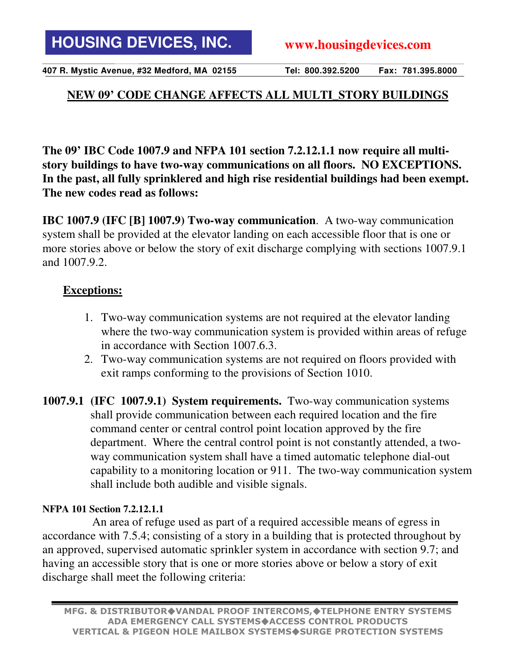**407 R. Mystic Avenue, #32 Medford, MA 02155 Tel: 800.392.5200 Fax: 781.395.8000**

## **NEW 09' CODE CHANGE AFFECTS ALL MULTI\_STORY BUILDINGS**

**The 09' IBC Code 1007.9 and NFPA 101 section 7.2.12.1.1 now require all multistory buildings to have two-way communications on all floors. NO EXCEPTIONS. In the past, all fully sprinklered and high rise residential buildings had been exempt. The new codes read as follows:** 

**IBC 1007.9 (IFC [B] 1007.9) Two-way communication**. A two-way communication system shall be provided at the elevator landing on each accessible floor that is one or more stories above or below the story of exit discharge complying with sections 1007.9.1 and 1007.9.2.

## **Exceptions:**

- 1. Two-way communication systems are not required at the elevator landing where the two-way communication system is provided within areas of refuge in accordance with Section 1007.6.3.
- 2. Two-way communication systems are not required on floors provided with exit ramps conforming to the provisions of Section 1010.
- **1007.9.1 (IFC 1007.9.1) System requirements.** Two-way communication systems shall provide communication between each required location and the fire command center or central control point location approved by the fire department. Where the central control point is not constantly attended, a twoway communication system shall have a timed automatic telephone dial-out capability to a monitoring location or 911. The two-way communication system shall include both audible and visible signals.

## **NFPA 101 Section 7.2.12.1.1**

An area of refuge used as part of a required accessible means of egress in accordance with 7.5.4; consisting of a story in a building that is protected throughout by an approved, supervised automatic sprinkler system in accordance with section 9.7; and having an accessible story that is one or more stories above or below a story of exit discharge shall meet the following criteria: